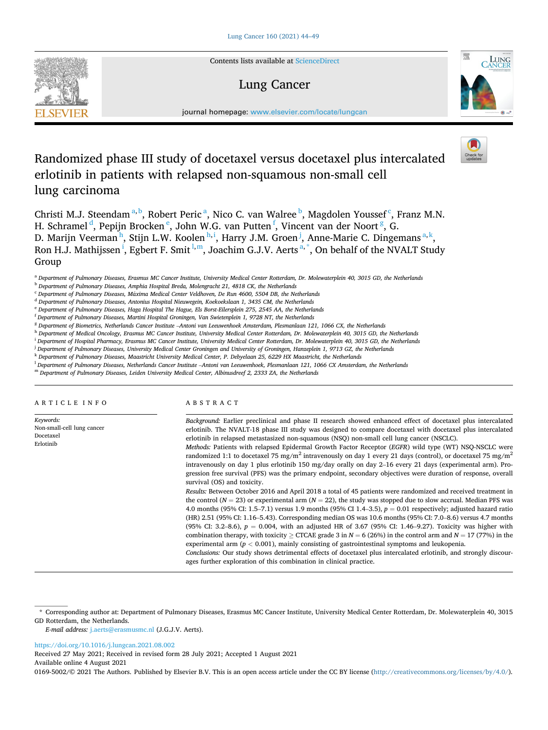

Contents lists available at [ScienceDirect](www.sciencedirect.com/science/journal/01695002)

# Lung Cancer



journal homepage: [www.elsevier.com/locate/lungcan](https://www.elsevier.com/locate/lungcan)

# Randomized phase III study of docetaxel versus docetaxel plus intercalated erlotinib in patients with relapsed non-squamous non-small cell lung carcinoma

Christi M.J. Steendam<sup>a, b</sup>, Robert Peric<sup>a</sup>, Nico C. van Walree <sup>b</sup>, Magdolen Youssef<sup>c</sup>, Franz M.N. H. Schramel <sup>d</sup>, Pepijn Brocken <sup>e</sup>, John W.G. van Putten <sup>f</sup>, Vincent van der Noort <sup>g</sup>, G. D. Marijn Veerman<sup>h</sup>, Stijn L.W. Koolen<sup>h,i</sup>, Harry J.M. Groen<sup>j</sup>, Anne-Marie C. Dingemans<sup>a,k</sup>, Ron H.J. Mathijssen <sup>i</sup>, Egbert F. Smit <sup>l,m</sup>, Joachim G.J.V. Aerts <sup>a,</sup>\*, On behalf of the NVALT Study Group

<sup>a</sup> *Department of Pulmonary Diseases, Erasmus MC Cancer Institute, University Medical Center Rotterdam, Dr. Molewaterplein 40, 3015 GD, the Netherlands* 

<sup>b</sup> *Department of Pulmonary Diseases, Amphia Hospital Breda, Molengracht 21, 4818 CK, the Netherlands* 

<sup>c</sup> Department of Pulmonary Diseases, Máxima Medical Center Veldhoven, De Run 4600, 5504 DB, the Netherlands

<sup>d</sup> *Department of Pulmonary Diseases, Antonius Hospital Nieuwegein, Koekoekslaan 1, 3435 CM, the Netherlands* 

<sup>e</sup> *Department of Pulmonary Diseases, Haga Hospital The Hague, Els Borst-Eilersplein 275, 2545 AA, the Netherlands* 

<sup>f</sup> *Department of Pulmonary Diseases, Martini Hospital Groningen, Van Swietenplein 1, 9728 NT, the Netherlands* 

<sup>g</sup> *Department of Biometrics, Netherlands Cancer Institute* –*Antoni van Leeuwenhoek Amsterdam, Plesmanlaan 121, 1066 CX, the Netherlands* 

<sup>h</sup> *Department of Medical Oncology, Erasmus MC Cancer Institute, University Medical Center Rotterdam, Dr. Molewaterplein 40, 3015 GD, the Netherlands* 

<sup>i</sup> *Department of Hospital Pharmacy, Erasmus MC Cancer Institute, University Medical Center Rotterdam, Dr. Molewaterplein 40, 3015 GD, the Netherlands* 

<sup>j</sup> *Department of Pulmonary Diseases, University Medical Center Groningen and University of Groningen, Hanzeplein 1, 9713 GZ, the Netherlands* 

<sup>k</sup> *Department of Pulmonary Diseases, Maastricht University Medical Center, P. Debyelaan 25, 6229 HX Maastricht, the Netherlands* 

<sup>l</sup> *Department of Pulmonary Diseases, Netherlands Cancer Institute* –*Antoni van Leeuwenhoek, Plesmanlaan 121, 1066 CX Amsterdam, the Netherlands* 

<sup>m</sup> *Department of Pulmonary Diseases, Leiden University Medical Center, Albinusdreef 2, 2333 ZA, the Netherlands* 

ARTICLE INFO

*Keywords:*  Non-small-cell lung cancer Docetaxel Erlotinib

# ABSTRACT

*Background:* Earlier preclinical and phase II research showed enhanced effect of docetaxel plus intercalated erlotinib. The NVALT-18 phase III study was designed to compare docetaxel with docetaxel plus intercalated erlotinib in relapsed metastasized non-squamous (NSQ) non-small cell lung cancer (NSCLC). *Methods:* Patients with relapsed Epidermal Growth Factor Receptor (*EGFR*) wild type (WT) NSQ-NSCLC were randomized 1:1 to docetaxel 75 mg/m<sup>2</sup> intravenously on day 1 every 21 days (control), or docetaxel 75 mg/m<sup>2</sup>

intravenously on day 1 plus erlotinib 150 mg/day orally on day 2–16 every 21 days (experimental arm). Progression free survival (PFS) was the primary endpoint, secondary objectives were duration of response, overall survival (OS) and toxicity.

*Results:* Between October 2016 and April 2018 a total of 45 patients were randomized and received treatment in the control (*N* = 23) or experimental arm (*N* = 22), the study was stopped due to slow accrual. Median PFS was 4.0 months (95% CI: 1.5–7.1) versus 1.9 months (95% CI 1.4–3.5), *p* = 0.01 respectively; adjusted hazard ratio (HR) 2.51 (95% CI: 1.16–5.43). Corresponding median OS was 10.6 months (95% CI: 7.0–8.6) versus 4.7 months (95% CI: 3.2–8.6),  $p = 0.004$ , with an adjusted HR of 3.67 (95% CI: 1.46–9.27). Toxicity was higher with combination therapy, with toxicity  $\geq$  CTCAE grade 3 in  $N = 6$  (26%) in the control arm and  $N = 17$  (77%) in the experimental arm (*p <* 0.001), mainly consisting of gastrointestinal symptoms and leukopenia. *Conclusions:* Our study shows detrimental effects of docetaxel plus intercalated erlotinib, and strongly discour-

ages further exploration of this combination in clinical practice.

*E-mail address:* [j.aerts@erasmusmc.nl](mailto:j.aerts@erasmusmc.nl) (J.G.J.V. Aerts).

<https://doi.org/10.1016/j.lungcan.2021.08.002>

Available online 4 August 2021 Received 27 May 2021; Received in revised form 28 July 2021; Accepted 1 August 2021

0169-5002/© 2021 The Authors. Published by Elsevier B.V. This is an open access article under the CC BY license [\(http://creativecommons.org/licenses/by/4.0/\)](http://creativecommons.org/licenses/by/4.0/).

<sup>\*</sup> Corresponding author at: Department of Pulmonary Diseases, Erasmus MC Cancer Institute, University Medical Center Rotterdam, Dr. Molewaterplein 40, 3015 GD Rotterdam, the Netherlands.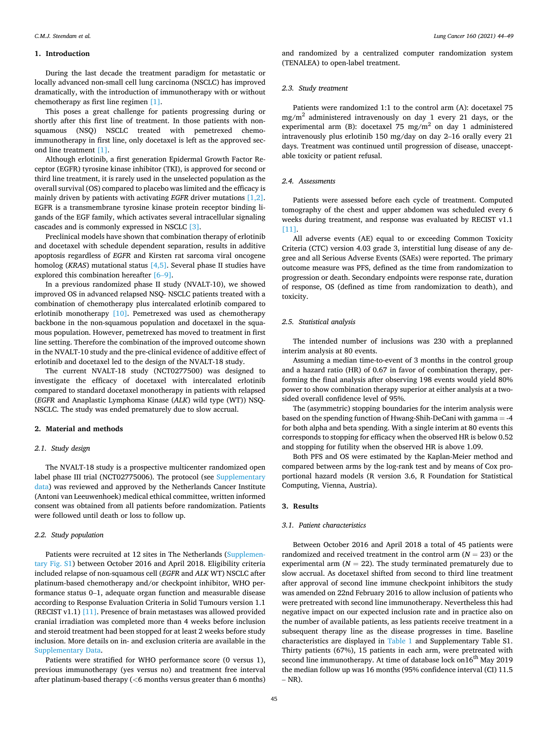#### **1. Introduction**

During the last decade the treatment paradigm for metastatic or locally advanced non-small cell lung carcinoma (NSCLC) has improved dramatically, with the introduction of immunotherapy with or without chemotherapy as first line regimen [\[1\]](#page-5-0).

This poses a great challenge for patients progressing during or shortly after this first line of treatment. In those patients with nonsquamous (NSQ) NSCLC treated with pemetrexed chemoimmunotherapy in first line, only docetaxel is left as the approved second line treatment [\[1\].](#page-5-0)

Although erlotinib, a first generation Epidermal Growth Factor Receptor (EGFR) tyrosine kinase inhibitor (TKI), is approved for second or third line treatment, it is rarely used in the unselected population as the overall survival (OS) compared to placebo was limited and the efficacy is mainly driven by patients with activating *EGFR* driver mutations [\[1,2\]](#page-5-0). EGFR is a transmembrane tyrosine kinase protein receptor binding ligands of the EGF family, which activates several intracellular signaling cascades and is commonly expressed in NSCLC [\[3\].](#page-5-0)

Preclinical models have shown that combination therapy of erlotinib and docetaxel with schedule dependent separation, results in additive apoptosis regardless of *EGFR* and Kirsten rat sarcoma viral oncogene homolog (*KRAS*) mutational status [\[4,5\]](#page-5-0). Several phase II studies have explored this combination hereafter [6–[9\].](#page-5-0)

In a previous randomized phase II study (NVALT-10), we showed improved OS in advanced relapsed NSQ- NSCLC patients treated with a combination of chemotherapy plus intercalated erlotinib compared to erlotinib monotherapy [\[10\]](#page-5-0). Pemetrexed was used as chemotherapy backbone in the non-squamous population and docetaxel in the squamous population. However, pemetrexed has moved to treatment in first line setting. Therefore the combination of the improved outcome shown in the NVALT-10 study and the pre-clinical evidence of additive effect of erlotinib and docetaxel led to the design of the NVALT-18 study.

The current NVALT-18 study (NCT0277500) was designed to investigate the efficacy of docetaxel with intercalated erlotinib compared to standard docetaxel monotherapy in patients with relapsed (*EGFR* and Anaplastic Lymphoma Kinase (*ALK*) wild type (WT)) NSQ-NSCLC. The study was ended prematurely due to slow accrual.

#### **2. Material and methods**

# *2.1. Study design*

The NVALT-18 study is a prospective multicenter randomized open label phase III trial (NCT02775006). The protocol (see Supplementary data) was reviewed and approved by the Netherlands Cancer Institute (Antoni van Leeuwenhoek) medical ethical committee, written informed consent was obtained from all patients before randomization. Patients were followed until death or loss to follow up.

#### *2.2. Study population*

Patients were recruited at 12 sites in The Netherlands (Supplementary Fig. S1) between October 2016 and April 2018. Eligibility criteria included relapse of non-squamous cell (*EGFR* and *ALK* WT) NSCLC after platinum-based chemotherapy and/or checkpoint inhibitor, WHO performance status 0–1, adequate organ function and measurable disease according to Response Evaluation Criteria in Solid Tumours version 1.1 (RECIST v1.1) [\[11\]](#page-5-0). Presence of brain metastases was allowed provided cranial irradiation was completed more than 4 weeks before inclusion and steroid treatment had been stopped for at least 2 weeks before study inclusion. More details on in- and exclusion criteria are available in the Supplementary Data.

Patients were stratified for WHO performance score (0 versus 1), previous immunotherapy (yes versus no) and treatment free interval after platinum-based therapy (*<*6 months versus greater than 6 months) and randomized by a centralized computer randomization system (TENALEA) to open-label treatment.

### *2.3. Study treatment*

Patients were randomized 1:1 to the control arm (A): docetaxel 75  $mg/m<sup>2</sup>$  administered intravenously on day 1 every 21 days, or the experimental arm (B): docetaxel 75 mg/m<sup>2</sup> on day 1 administered intravenously plus erlotinib 150 mg/day on day 2–16 orally every 21 days. Treatment was continued until progression of disease, unacceptable toxicity or patient refusal.

#### *2.4. Assessments*

Patients were assessed before each cycle of treatment. Computed tomography of the chest and upper abdomen was scheduled every 6 weeks during treatment, and response was evaluated by RECIST v1.1 [\[11\]](#page-5-0).

All adverse events (AE) equal to or exceeding Common Toxicity Criteria (CTC) version 4.03 grade 3, interstitial lung disease of any degree and all Serious Adverse Events (SAEs) were reported. The primary outcome measure was PFS, defined as the time from randomization to progression or death. Secondary endpoints were response rate, duration of response, OS (defined as time from randomization to death), and toxicity.

#### *2.5. Statistical analysis*

The intended number of inclusions was 230 with a preplanned interim analysis at 80 events.

Assuming a median time-to-event of 3 months in the control group and a hazard ratio (HR) of 0.67 in favor of combination therapy, performing the final analysis after observing 198 events would yield 80% power to show combination therapy superior at either analysis at a twosided overall confidence level of 95%.

The (asymmetric) stopping boundaries for the interim analysis were based on the spending function of Hwang-Shih-DeCani with gamma = -4 for both alpha and beta spending. With a single interim at 80 events this corresponds to stopping for efficacy when the observed HR is below 0.52 and stopping for futility when the observed HR is above 1.09.

Both PFS and OS were estimated by the Kaplan-Meier method and compared between arms by the log-rank test and by means of Cox proportional hazard models (R version 3.6, R Foundation for Statistical Computing, Vienna, Austria).

#### **3. Results**

#### *3.1. Patient characteristics*

Between October 2016 and April 2018 a total of 45 patients were randomized and received treatment in the control arm  $(N = 23)$  or the experimental arm  $(N = 22)$ . The study terminated prematurely due to slow accrual. As docetaxel shifted from second to third line treatment after approval of second line immune checkpoint inhibitors the study was amended on 22nd February 2016 to allow inclusion of patients who were pretreated with second line immunotherapy. Nevertheless this had negative impact on our expected inclusion rate and in practice also on the number of available patients, as less patients receive treatment in a subsequent therapy line as the disease progresses in time. Baseline characteristics are displayed in [Table 1](#page-2-0) and Supplementary Table S1. Thirty patients (67%), 15 patients in each arm, were pretreated with second line immunotherapy. At time of database lock on16<sup>th</sup> May 2019 the median follow up was 16 months (95% confidence interval (CI) 11.5  $-$  NR).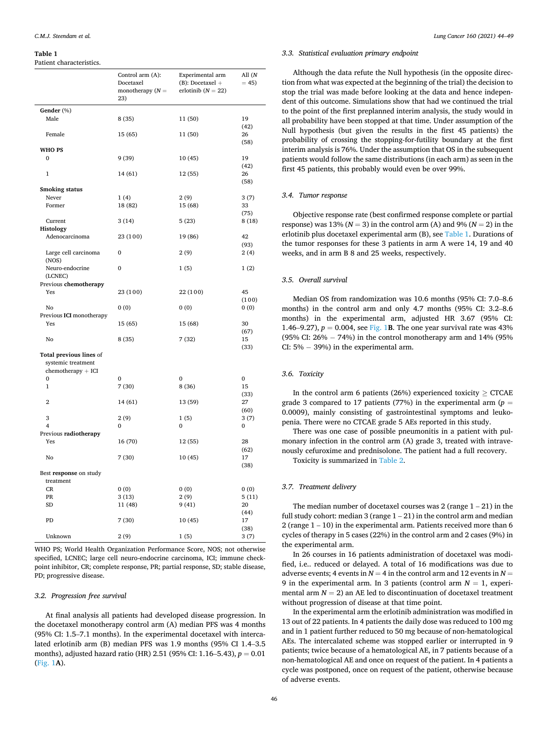#### <span id="page-2-0"></span>**Table 1**

Patient characteristics.

|                                | Control arm (A):<br>Docetaxel<br>monotherapy $(N =$<br>23) | Experimental arm<br>$(B)$ : Docetaxel +<br>erlotinib ( $N = 22$ ) | All (N<br>$= 45$ |  |
|--------------------------------|------------------------------------------------------------|-------------------------------------------------------------------|------------------|--|
| Gender (%)                     |                                                            |                                                                   |                  |  |
| Male                           | 8(35)                                                      | 11 (50)                                                           | 19<br>(42)       |  |
| Female                         | 15 (65)                                                    | 11 (50)                                                           | 26<br>(58)       |  |
| <b>WHO PS</b>                  |                                                            |                                                                   |                  |  |
| $\mathbf{0}$                   | 9(39)                                                      | 10(45)                                                            | 19<br>(42)       |  |
| $\mathbf{1}$                   | 14 (61)                                                    | 12(55)                                                            | 26<br>(58)       |  |
| <b>Smoking status</b>          |                                                            |                                                                   |                  |  |
| Never                          | 1(4)                                                       | 2(9)                                                              | 3(7)             |  |
| Former                         | 18 (82)                                                    | 15 (68)                                                           | 33               |  |
|                                |                                                            |                                                                   | (75)             |  |
| Current                        | 3(14)                                                      | 5(23)                                                             | 8(18)            |  |
| Histology                      |                                                            |                                                                   |                  |  |
| Adenocarcinoma                 | 23 (100)                                                   | 19 (86)                                                           | 42<br>(93)       |  |
| Large cell carcinoma<br>(NOS)  | 0                                                          | 2(9)                                                              | 2(4)             |  |
| Neuro-endocrine<br>(LCNEC)     | 0                                                          | 1(5)                                                              | 1(2)             |  |
| Previous chemotherapy          |                                                            |                                                                   |                  |  |
| Yes                            | 23 (100)                                                   | 22 (100)                                                          | 45<br>(100)      |  |
| No<br>Previous ICI monotherapy | 0(0)                                                       | 0(0)                                                              | 0(0)             |  |
| Yes                            | 15 (65)                                                    | 15 (68)                                                           | 30<br>(67)       |  |
| No                             | 8 (35)<br>7(32)                                            |                                                                   | 15<br>(33)       |  |
| Total previous lines of        |                                                            |                                                                   |                  |  |
| systemic treatment             |                                                            |                                                                   |                  |  |
| $chemotheray + ICI$            |                                                            |                                                                   |                  |  |
| 0                              | $\mathbf{0}$                                               | 0                                                                 | $\bf{0}$         |  |
| $\mathbf{1}$                   | 7(30)                                                      | 8 (36)                                                            | 15               |  |
| $\overline{2}$                 | 14 (61)                                                    | 13 (59)                                                           | (33)<br>27       |  |
|                                |                                                            |                                                                   | (60)             |  |
| 3                              | 2(9)                                                       | 1(5)                                                              | 3(7)             |  |
| 4                              | 0                                                          | 0                                                                 | 0                |  |
| Previous radiotherapy          |                                                            |                                                                   |                  |  |
| Yes                            | 16 (70)                                                    | 12 (55)                                                           | 28               |  |
| No                             | 7(30)                                                      | 10(45)                                                            | (62)<br>17       |  |
| Best response on study         |                                                            |                                                                   | (38)             |  |
| treatment                      |                                                            |                                                                   |                  |  |
| CR                             | 0(0)                                                       | 0(0)                                                              | 0(0)             |  |
| PR                             | 3(13)                                                      | 2(9)                                                              | 5(11)            |  |
| <b>SD</b>                      | 11 (48)                                                    | 9(41)                                                             | 20<br>(44)       |  |
| PD                             | 7(30)                                                      | 10(45)                                                            | 17<br>(38)       |  |
| Unknown                        | 2(9)                                                       | 1(5)                                                              | 3(7)             |  |

WHO PS; World Health Organization Performance Score, NOS; not otherwise specified, LCNEC; large cell neuro-endocrine carcinoma, ICI; immune checkpoint inhibitor, CR; complete response, PR; partial response, SD; stable disease, PD; progressive disease.

## *3.2. Progression free survival*

At final analysis all patients had developed disease progression. In the docetaxel monotherapy control arm (A) median PFS was 4 months (95% CI: 1.5–7.1 months). In the experimental docetaxel with intercalated erlotinib arm (B) median PFS was 1.9 months (95% CI 1.4–3.5 months), adjusted hazard ratio (HR) 2.51 (95% CI: 1.16–5.43), *p* = 0.01 ([Fig. 1](#page-3-0)**A**).

#### *3.3. Statistical evaluation primary endpoint*

Although the data refute the Null hypothesis (in the opposite direction from what was expected at the beginning of the trial) the decision to stop the trial was made before looking at the data and hence independent of this outcome. Simulations show that had we continued the trial to the point of the first preplanned interim analysis, the study would in all probability have been stopped at that time. Under assumption of the Null hypothesis (but given the results in the first 45 patients) the probability of crossing the stopping-for-futility boundary at the first interim analysis is 76%. Under the assumption that OS in the subsequent patients would follow the same distributions (in each arm) as seen in the first 45 patients, this probably would even be over 99%.

### *3.4. Tumor response*

Objective response rate (best confirmed response complete or partial response) was 13% ( $N = 3$ ) in the control arm (A) and 9% ( $N = 2$ ) in the erlotinib plus docetaxel experimental arm (B), see Table 1. Durations of the tumor responses for these 3 patients in arm A were 14, 19 and 40 weeks, and in arm B 8 and 25 weeks, respectively.

## *3.5. Overall survival*

Median OS from randomization was 10.6 months (95% CI: 7.0–8.6 months) in the control arm and only 4.7 months (95% CI: 3.2–8.6 months) in the experimental arm, adjusted HR 3.67 (95% CI: 1.46–9.27),  $p = 0.004$ , see [Fig. 1](#page-3-0)B. The one year survival rate was 43% (95% CI: 26% − 74%) in the control monotherapy arm and 14% (95% CI: 5% − 39%) in the experimental arm.

#### *3.6. Toxicity*

In the control arm 6 patients (26%) experienced toxicity  $\geq$  CTCAE grade 3 compared to 17 patients (77%) in the experimental arm ( $p =$ 0.0009), mainly consisting of gastrointestinal symptoms and leukopenia. There were no CTCAE grade 5 AEs reported in this study.

There was one case of possible pneumonitis in a patient with pulmonary infection in the control arm (A) grade 3, treated with intravenously cefuroxime and prednisolone. The patient had a full recovery.

Toxicity is summarized in [Table 2.](#page-3-0)

# *3.7. Treatment delivery*

The median number of docetaxel courses was  $2$  (range  $1 - 21$ ) in the full study cohort: median  $3$  (range  $1 - 21$ ) in the control arm and median 2 (range 1 – 10) in the experimental arm. Patients received more than 6 cycles of therapy in 5 cases (22%) in the control arm and 2 cases (9%) in the experimental arm.

In 26 courses in 16 patients administration of docetaxel was modified, i.e.. reduced or delayed. A total of 16 modifications was due to adverse events; 4 events in  $N = 4$  in the control arm and 12 events in  $N =$ 9 in the experimental arm. In 3 patients (control arm  $N = 1$ , experimental arm  $N = 2$ ) an AE led to discontinuation of docetaxel treatment without progression of disease at that time point.

In the experimental arm the erlotinib administration was modified in 13 out of 22 patients. In 4 patients the daily dose was reduced to 100 mg and in 1 patient further reduced to 50 mg because of non-hematological AEs. The intercalated scheme was stopped earlier or interrupted in 9 patients; twice because of a hematological AE, in 7 patients because of a non-hematological AE and once on request of the patient. In 4 patients a cycle was postponed, once on request of the patient, otherwise because of adverse events.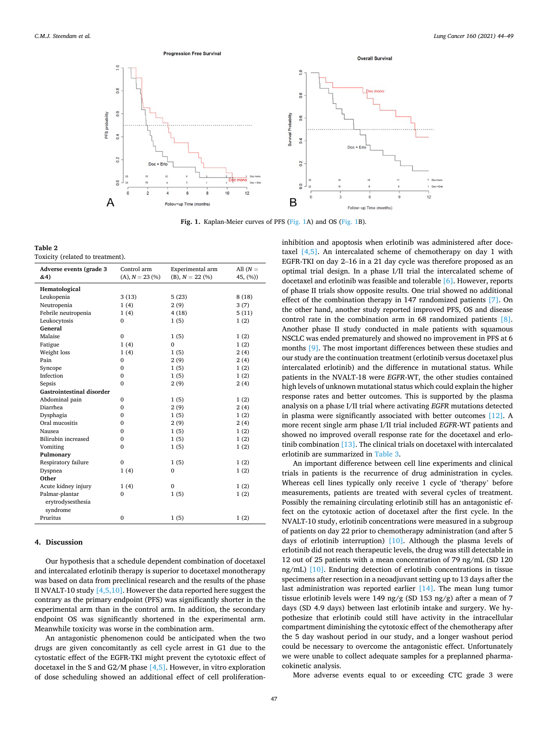<span id="page-3-0"></span>

**Fig. 1.** Kaplan-Meier curves of PFS (Fig. 1A) and OS (Fig. 1B).

**Table 2**  Toxicity (related to treatment).

| Adverse events (grade 3          | Control arm       | Experimental arm  | All $(N =$ |  |
|----------------------------------|-------------------|-------------------|------------|--|
| &4)                              | $(A), N = 23 (%)$ | $(B), N = 22 (%)$ | 45, (%))   |  |
| Hematological                    |                   |                   |            |  |
| Leukopenia                       | 3(13)             | 5(23)             | 8(18)      |  |
| Neutropenia                      | 1(4)              | 2(9)              | 3(7)       |  |
| Febrile neutropenia              | 1(4)              | 4(18)             | 5(11)      |  |
| Leukocytosis                     | 0                 | 1(5)              | 1(2)       |  |
| General                          |                   |                   |            |  |
| Malaise                          | $\mathbf{0}$      | 1(5)              | 1(2)       |  |
| Fatigue                          | 1(4)              | $\Omega$          | 1(2)       |  |
| Weight loss                      | 1(4)              | 1(5)              | 2(4)       |  |
| Pain                             | 0                 | 2(9)              | 2(4)       |  |
| Syncope                          | 0                 | 1(5)              | 1(2)       |  |
| Infection                        | $\mathbf{0}$      | 1(5)              | 1(2)       |  |
| Sepsis                           | $\mathbf{0}$      | 2(9)              | 2(4)       |  |
| <b>Gastrointestinal disorder</b> |                   |                   |            |  |
| Abdominal pain                   | $\mathbf{0}$      | 1(5)              | 1(2)       |  |
| Diarrhea                         | $\mathbf{0}$      | 2(9)              | 2(4)       |  |
| Dysphagia                        | $\mathbf{0}$      | 1(5)              | 1(2)       |  |
| Oral mucositis                   | $\mathbf{0}$      | 2(9)              | 2(4)       |  |
| Nausea                           | $\mathbf 0$       | 1(5)              | 1(2)       |  |
| Bilirubin increased              | $\mathbf{0}$      | 1(5)              | 1(2)       |  |
| Vomiting                         | $\mathbf{0}$      | 1(5)              | 1(2)       |  |
| Pulmonary                        |                   |                   |            |  |
| Respiratory failure              | $\mathbf{0}$      | 1(5)              | 1(2)       |  |
| Dyspnea                          | 1(4)              | $\mathbf{0}$      | 1(2)       |  |
| Other                            |                   |                   |            |  |
| Acute kidney injury              | 1(4)              | $\mathbf{0}$      | 1(2)       |  |
| Palmar-plantar                   | $\mathbf{0}$      | 1(5)              | 1(2)       |  |
| erytrodysesthesia                |                   |                   |            |  |
| syndrome                         |                   |                   |            |  |
| Pruritus                         | $\mathbf{0}$      | 1(5)              | 1(2)       |  |
|                                  |                   |                   |            |  |

# **4. Discussion**

Our hypothesis that a schedule dependent combination of docetaxel and intercalated erlotinib therapy is superior to docetaxel monotherapy was based on data from preclinical research and the results of the phase II NVALT-10 study [\[4,5,10\]](#page-5-0). However the data reported here suggest the contrary as the primary endpoint (PFS) was significantly shorter in the experimental arm than in the control arm. In addition, the secondary endpoint OS was significantly shortened in the experimental arm. Meanwhile toxicity was worse in the combination arm.

An antagonistic phenomenon could be anticipated when the two drugs are given concomitantly as cell cycle arrest in G1 due to the cytostatic effect of the EGFR-TKI might prevent the cytotoxic effect of docetaxel in the S and G2/M phase [\[4,5\]](#page-5-0). However, in vitro exploration of dose scheduling showed an additional effect of cell proliferationinhibition and apoptosis when erlotinib was administered after docetaxel [\[4,5\]](#page-5-0). An intercalated scheme of chemotherapy on day 1 with EGFR-TKI on day 2–16 in a 21 day cycle was therefore proposed as an optimal trial design. In a phase I/II trial the intercalated scheme of docetaxel and erlotinib was feasible and tolerable [\[6\].](#page-5-0) However, reports of phase II trials show opposite results. One trial showed no additional effect of the combination therapy in 147 randomized patients [\[7\]](#page-5-0). On the other hand, another study reported improved PFS, OS and disease control rate in the combination arm in 68 randomized patients [\[8\]](#page-5-0). Another phase II study conducted in male patients with squamous NSCLC was ended prematurely and showed no improvement in PFS at 6 months [\[9\]](#page-5-0). The most important differences between these studies and our study are the continuation treatment (erlotinib versus docetaxel plus intercalated erlotinib) and the difference in mutational status. While patients in the NVALT-18 were *EGFR*-WT, the other studies contained high levels of unknown mutational status which could explain the higher response rates and better outcomes. This is supported by the plasma analysis on a phase I/II trial where activating *EGFR* mutations detected in plasma were significantly associated with better outcomes [\[12\].](#page-5-0) A more recent single arm phase I/II trial included *EGFR*-WT patients and showed no improved overall response rate for the docetaxel and erlotinib combination [\[13\]](#page-5-0). The clinical trials on docetaxel with intercalated erlotinib are summarized in [Table 3.](#page-4-0)

An important difference between cell line experiments and clinical trials in patients is the recurrence of drug administration in cycles. Whereas cell lines typically only receive 1 cycle of 'therapy' before measurements, patients are treated with several cycles of treatment. Possibly the remaining circulating erlotinib still has an antagonistic effect on the cytotoxic action of docetaxel after the first cycle. In the NVALT-10 study, erlotinib concentrations were measured in a subgroup of patients on day 22 prior to chemotherapy administration (and after 5 days of erlotinib interruption) [\[10\]](#page-5-0). Although the plasma levels of erlotinib did not reach therapeutic levels, the drug was still detectable in 12 out of 25 patients with a mean concentration of 79 ng/mL (SD 120 ng/mL) [\[10\]](#page-5-0). Enduring detection of erlotinib concentrations in tissue specimens after resection in a neoadjuvant setting up to 13 days after the last administration was reported earlier [\[14\]](#page-5-0). The mean lung tumor tissue erlotinib levels were 149 ng/g (SD 153 ng/g) after a mean of 7 days (SD 4.9 days) between last erlotinib intake and surgery. We hypothesize that erlotinib could still have activity in the intracellular compartment diminishing the cytotoxic effect of the chemotherapy after the 5 day washout period in our study, and a longer washout period could be necessary to overcome the antagonistic effect. Unfortunately we were unable to collect adequate samples for a preplanned pharmacokinetic analysis.

More adverse events equal to or exceeding CTC grade 3 were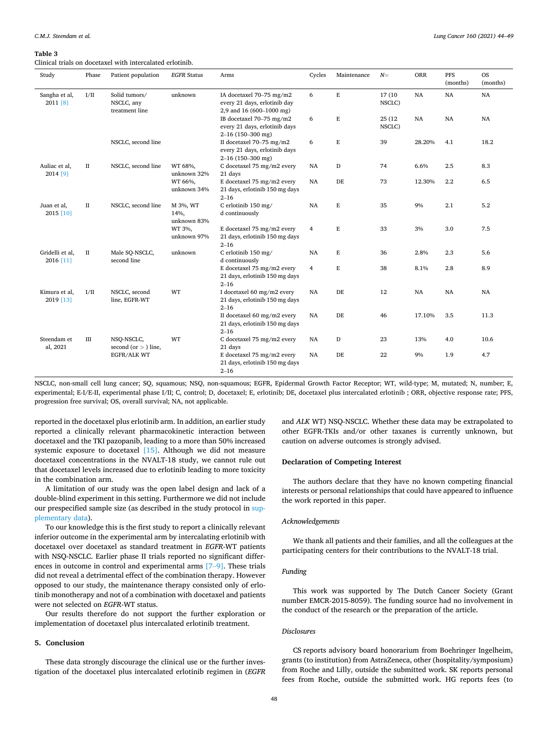#### <span id="page-4-0"></span>**Table 3**

Clinical trials on docetaxel with intercalated erlotinib.

| Study                                    | Phase       | Patient population                            | <b>EGFR Status</b>              | Arms                                                                                 | Cycles         | Maintenance | $N=$              | ORR         | PFS<br>(months) | <b>OS</b><br>(months) |
|------------------------------------------|-------------|-----------------------------------------------|---------------------------------|--------------------------------------------------------------------------------------|----------------|-------------|-------------------|-------------|-----------------|-----------------------|
| Sangha et al,<br>2011 [8]                | I/II        | Solid tumors/<br>NSCLC, any<br>treatment line | unknown                         | IA docetaxel 70-75 mg/m2<br>every 21 days, erlotinib day<br>2,9 and 16 (600-1000 mg) | 6              | E           | 17 (10)<br>NSCLC) | NA          | $_{\rm NA}$     | NA                    |
|                                          |             |                                               |                                 | IB docetaxel 70-75 mg/m2<br>every 21 days, erlotinib days<br>$2-16$ (150-300 mg)     | 6              | E           | 25 (12)<br>NSCLC) | NA          | NA              | NA                    |
|                                          |             | NSCLC, second line                            |                                 | II docetaxel 70-75 mg/m2<br>every 21 days, erlotinib days<br>$2-16$ (150-300 mg)     | 6              | E           | 39                | 28.20%      | 4.1             | 18.2                  |
| Auliac et al,<br>$_{\rm II}$<br>2014 [9] |             | NSCLC, second line                            | WT 68%,<br>unknown 32%          | C docetaxel 75 mg/m2 every<br>21 days                                                | NA             | D           | 74                | 6.6%        | 2.5             | 8.3                   |
|                                          |             |                                               | WT 66%,<br>unknown 34%          | E docetaxel 75 mg/m2 every<br>21 days, erlotinib 150 mg days<br>$2 - 16$             | NA             | DE          | 73                | 12.30%      | 2.2             | 6.5                   |
| Juan et al,<br>2015 [10]                 | $_{\rm II}$ | NSCLC, second line                            | M 3%, WT<br>14%,<br>unknown 83% | C erlotinib 150 mg/<br>d continuously                                                | NA             | E           | 35                | 9%          | 2.1             | 5.2                   |
|                                          |             |                                               | WT 3%,<br>unknown 97%           | E docetaxel 75 mg/m2 every<br>21 days, erlotinib 150 mg days<br>$2 - 16$             | $\overline{4}$ | E           | 33                | 3%          | 3.0             | 7.5                   |
| Gridelli et al,<br>2016 [11]             | $_{\rm II}$ | Male SQ-NSCLC,<br>second line                 | unknown                         | C erlotinib 150 mg/<br>d continuously                                                | <b>NA</b>      | E           | 36                | 2.8%        | 2.3             | 5.6                   |
|                                          |             |                                               |                                 | E docetaxel 75 mg/m2 every<br>21 days, erlotinib 150 mg days<br>$2 - 16$             | $\overline{4}$ | E           | 38                | 8.1%        | 2.8             | 8.9                   |
| Kimura et al,<br>2019 [13]               | I/II        | NSCLC, second<br>line, EGFR-WT                | WT                              | I docetaxel 60 mg/m2 every<br>21 days, erlotinib 150 mg days<br>$2 - 16$             | NA             | DE          | 12                | $_{\rm NA}$ | NA              | NA                    |
|                                          |             |                                               |                                 | II docetaxel 60 mg/m2 every<br>21 days, erlotinib 150 mg days<br>$2 - 16$            | NA             | DE          | 46                | 17.10%      | 3.5             | 11.3                  |
| Steendam et<br>al, 2021                  | III         | NSQ-NSCLC,<br>second (or $>$ ) line,          | WT                              | C docetaxel 75 mg/m2 every<br>21 days                                                | NA             | D           | 23                | 13%         | 4.0             | 10.6                  |
|                                          |             | EGFR/ALK WT                                   |                                 | E docetaxel 75 mg/m2 every<br>21 days, erlotinib 150 mg days<br>$2 - 16$             | NA             | $\rm DE$    | 22                | 9%          | 1.9             | 4.7                   |

NSCLC, non-small cell lung cancer; SQ, squamous; NSQ, non-squamous; EGFR, Epidermal Growth Factor Receptor; WT, wild-type; M, mutated; N, number; E, experimental; E-I/E-II, experimental phase I/II; C, control; D, docetaxel; E, erlotinib; DE, docetaxel plus intercalated erlotinib ; ORR, objective response rate; PFS, progression free survival; OS, overall survival; NA, not applicable.

reported in the docetaxel plus erlotinib arm. In addition, an earlier study reported a clinically relevant pharmacokinetic interaction between docetaxel and the TKI pazopanib, leading to a more than 50% increased systemic exposure to docetaxel [\[15\]](#page-5-0). Although we did not measure docetaxel concentrations in the NVALT-18 study, we cannot rule out that docetaxel levels increased due to erlotinib leading to more toxicity in the combination arm.

A limitation of our study was the open label design and lack of a double-blind experiment in this setting. Furthermore we did not include our prespecified sample size (as described in the study protocol in supplementary data).

To our knowledge this is the first study to report a clinically relevant inferior outcome in the experimental arm by intercalating erlotinib with docetaxel over docetaxel as standard treatment in *EGFR*-WT patients with NSQ-NSCLC. Earlier phase II trials reported no significant differences in outcome in control and experimental arms [\[7](#page-5-0)–9]. These trials did not reveal a detrimental effect of the combination therapy. However opposed to our study, the maintenance therapy consisted only of erlotinib monotherapy and not of a combination with docetaxel and patients were not selected on *EGFR*-WT status.

Our results therefore do not support the further exploration or implementation of docetaxel plus intercalated erlotinib treatment.

# **5. Conclusion**

These data strongly discourage the clinical use or the further investigation of the docetaxel plus intercalated erlotinib regimen in (*EGFR*  and *ALK* WT) NSQ-NSCLC. Whether these data may be extrapolated to other EGFR-TKIs and/or other taxanes is currently unknown, but caution on adverse outcomes is strongly advised.

#### **Declaration of Competing Interest**

The authors declare that they have no known competing financial interests or personal relationships that could have appeared to influence the work reported in this paper.

## *Acknowledgements*

We thank all patients and their families, and all the colleagues at the participating centers for their contributions to the NVALT-18 trial.

# *Funding*

This work was supported by The Dutch Cancer Society (Grant number EMCR-2015-8059). The funding source had no involvement in the conduct of the research or the preparation of the article.

# *Disclosures*

CS reports advisory board honorarium from Boehringer Ingelheim, grants (to institution) from AstraZeneca, other (hospitality/symposium) from Roche and Lilly, outside the submitted work. SK reports personal fees from Roche, outside the submitted work. HG reports fees (to